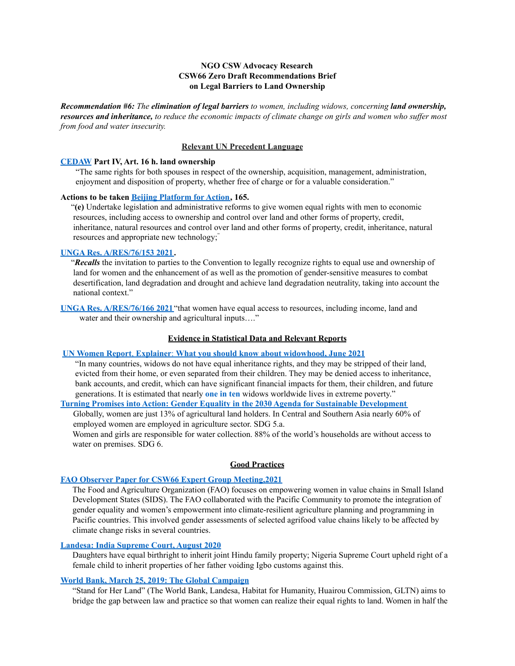# **NGO CSW Advocacy Research CSW66 Zero Draft Recommendations Brief on Legal Barriers to Land Ownership**

*Recommendation #6: The elimination of legal barriers to women, including widows, concerning land ownership,* resources and inheritance, to reduce the economic impacts of climate change on girls and women who suffer most *from food and water insecurity.*

### **Relevant UN Precedent Language**

## **[CEDAW](https://www.un.org/womenwatch/daw/cedaw/cedaw.htm) Part IV, Art. 16 h. land ownership**

"The same rights for both spouses in respect of the ownership, acquisition, management, administration, enjoyment and disposition of property, whether free of charge or for a valuable consideration."

#### **Actions to be taken Beijing [Platform](https://www.ohchr.org/_layouts/15/WopiFrame.aspx?sourcedoc=/Documents/Issues/Women/WG/BeijingDeclarationPlatformAction1995.pdf&action=default&DefaultItemOpen=1) for Action, 165.**

"**(e)** Undertake legislation and administrative reforms to give women equal rights with men to economic resources, including access to ownership and control over land and other forms of property, credit, inheritance, natural resources and control over land and other forms of property, credit, inheritance, natural resources and appropriate new technology;"

# **UNGA Res. [A/RES/76/153](https://documents-dds-ny.un.org/doc/UNDOC/GEN/N21/402/20/PDF/N2140220.pdf?OpenElement) 2021.**

"*Recalls* the invitation to parties to the Convention to legally recognize rights to equal use and ownership of land for women and the enhancement of as well as the promotion of gender-sensitive measures to combat desertification, land degradation and drought and achieve land degradation neutrality, taking into account the national context."

**UNGA Res. [A/RES/76/166](https://documents-dds-ny.un.org/doc/UNDOC/GEN/N21/404/88/PDF/N2140488.pdf?OpenElement) 2021**"that women have equal access to resources, including income, land and water and their ownership and agricultural inputs...."

# **Evidence in Statistical Data and Relevant Reports**

#### **UN Women Report**, **Explainer**: **What you should know about [widowhood,](https://www.unwomen.org/en/news/stories/2021/6/explainer-what-you-should-know-about-widowhood) June 2021**

"In many countries, widows do not have equal inheritance rights, and they may be stripped of their land, evicted from their home, or even separated from their children. They may be denied access to inheritance, bank accounts, and credit, which can have significant financial impacts for them, their children, and future generations. It is estimated that nearly **[one](https://www.unwomen.org/en/digital-library/publications/2018/2/gender-equality-in-the-2030-agenda-for-sustainable-development-2018) in ten** widows worldwide lives in extreme poverty."

**Turning Promises into Action: Gender Equality in the 2030 Agenda for Sustainable [Development](https://www.unwomen.org/en/digital-library/publications/2018/2/gender-equality-in-the-2030-agenda-for-sustainable-development-2018)**

Globally, women are just 13% of agricultural land holders. In Central and Southern Asia nearly 60% of employed women are employed in agriculture sector. SDG 5.a.

Women and girls are responsible for water collection. 88% of the world's households are without access to water on premises. SDG 6.

#### **Good Practices**

#### **FAO Observer Paper for CSW66 Expert Group [Meeting,2021](https://www.unwomen.org/sites/default/files/Headquarters/Attachments/Sections/CSW/66/EGM/Info%20Papers/FAO_CSW66%20Informational%20Paper.pdf)**

The Food and Agriculture Organization (FAO) focuses on empowering women in value chains in Small Island Development States (SIDS). The FAO collaborated with the Pacific Community to promote the integration of gender equality and women's empowerment into climate-resilient agriculture planning and programming in Pacific countries. This involved gender assessments of selected agrifood value chains likely to be affected by climate change risks in several countries.

### **[Landesa:](https://www.landesa.org/wp-content/uploads/Plotlines-September-2020.html) India Supreme Court, August 2020**

Daughters have equal birthright to inherit joint Hindu family property; Nigeria Supreme Court upheld right of a female child to inherit properties of her father voiding Igbo customs against this.

## **World Bank, March 25, 2019: The Global [Campaign](https://www.worldbank.org/en/news/press-release/2019/03/25/women-in-half-the-world-still-denied-land-property-rights-despite-laws)**

"Stand for Her Land" (The World Bank, Landesa, Habitat for Humanity, Huairou Commission, GLTN) aims to bridge the gap between law and practice so that women can realize their equal rights to land. Women in half the